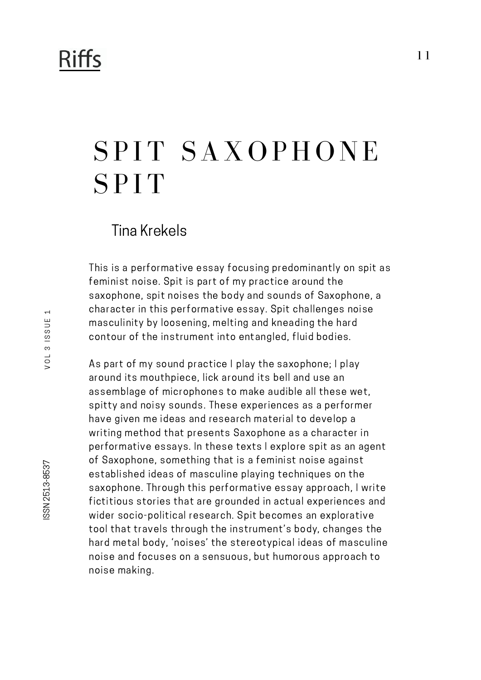## **Riffs**

# SPIT SAXOPHONE **SPIT**

### Tina Krekels

This is a performative essay focusing predominantly on spit as feminist noise. Spit is part of my practice around the saxophone, spit noises the body and sounds of Saxophone, a character in this performative essay. Spit challenges noise masculinity by loosening, melting and kneading the hard contour of the instrument into entangled, fluid bodies.

As part of my sound practice I play the saxophone; I play around its mouthpiece, lick around its bell and use an assemblage of microphones to make audible all these wet, spitty and noisy sounds. These experiences as a performer have given me ideas and research material to develop a writing method that presents Saxophone as a character in performative essays. In these texts I explore spit as an agent of Saxophone, something that is a feminist noise against established ideas of masculine playing techniques on the saxophone. Through this performative essay approach, I write fictitious stories that are grounded in actual experiences and wider socio-political research. Spit becomes an explorative tool that travels through the instrument's body, changes the hard metal body, 'noises' the stereotypical ideas of masculine noise and focuses on a sensuous, but humorous approach to noise making.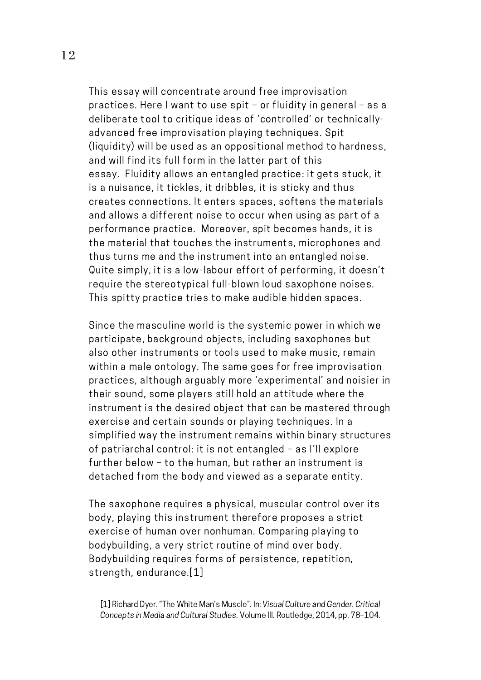This essay will concentrate around free improvisation practices. Here Iwant to use spit – or fluidity in general – as a deliberate tool to critique ideas of 'controlled' or technicallyadvanced free improvisation playing techniques. Spit (liquidity) will be used as an oppositional method to hardness, and will find its full form in the latter part of this essay. Fluidity allows an entangled practice: it gets stuck, it is a nuisance, it tickles, it dribbles, it is sticky and thus creates connections. It enters spaces, softens the materials and allows a different noise to occur when using as part of a performance practice. Moreover, spit becomes hands, it is the material that touches the instruments, microphones and thus turns me and the instrument into an entangled noise. Quite simply, it is a low-labour effort of performing, it doesn't require the stereotypical full-blown loud saxophone noises. This spitty practice tries to make audible hidden spaces.

Since the masculine world is the systemic power in which we participate, background objects, including saxophones but also other instruments or tools used to make music, remain within a male ontology. The same goes for free improvisation practices, although arguably more 'experimental' and noisier in their sound, some players still hold an attitude where the instrument is the desired object that can be mastered through exercise and certain sounds or playing techniques. In a simplified way the instrument remains within binary structures of patriarchal control: it is not entangled – as I'll explore further below – to the human, but rather an instrument is detached from the body and viewed as a separate entity.

The saxophone requires a physical, muscular control over its body, playing this instrument therefore proposes a strict exercise of human over nonhuman. Comparing playing to bodybuilding, a very strict routine of mind over body. Bodybuilding requires forms of persistence, repetition, strength, endurance.[1]

[1] Richard Dyer. "The White Man's Muscle". In: Visual Culture and Gender. Critical Concepts in Media and Cultural Studies. Volume III. Routledge, 2014, pp. 78–104.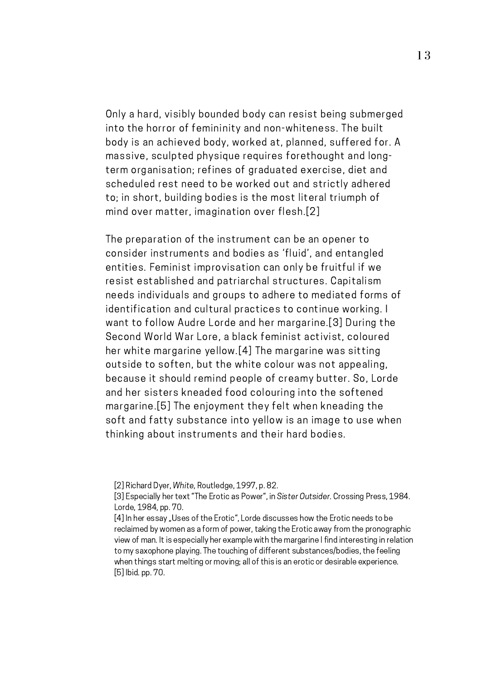Only a hard, visibly bounded body can resist being submerged into the horror of femininity and non-whiteness. The built body is an achieved body, worked at, planned, suffered for. A massive, sculpted physique requires forethought and longterm organisation; refines of graduated exercise, diet and scheduled rest need to be worked out and strictly adhered to; in short, building bodies is the most literal triumph of mind over matter, imagination over flesh.[2]

The preparation of the instrument can be an opener to consider instruments and bodies as 'fluid', and entangled entities. Feminist improvisation can only be fruitful if we resist established and patriarchal structures. Capitalism needs individuals and groups to adhere to mediated forms of identification and cultural practices to continue working. I want to follow Audre Lorde and her margarine.[3] During the Second World War Lore, a black feminist activist, coloured her white margarine yellow.[4] The margarine was sitting outside to soften, but the white colour was not appealing, because it should remind people of creamy butter. So, Lorde and her sisters kneaded food colouring into the softened margarine.[5] The enjoyment they felt when kneading the soft and fatty substance into yellow is an image to use when thinking about instruments and their hard bodies.

<sup>[2]</sup> Richard Dyer, White, Routledge, 1997, p. 82.

<sup>[3]</sup> Especially her text "The Erotic as Power", in Sister Outsider. Crossing Press, 1984. Lorde, 1984, pp. 70.

<sup>[4]</sup> In her essay "Uses of the Erotic", Lorde discusses how the Erotic needs to be reclaimed by women as a form of power, taking the Erotic away from the pronographic view of man. It is especially her example with the margarine I find interesting in relation to my saxophone playing. The touching of different substances/bodies, the feeling when things start melting or moving; all of this is an erotic or desirable experience. [5] Ibid. pp. 70.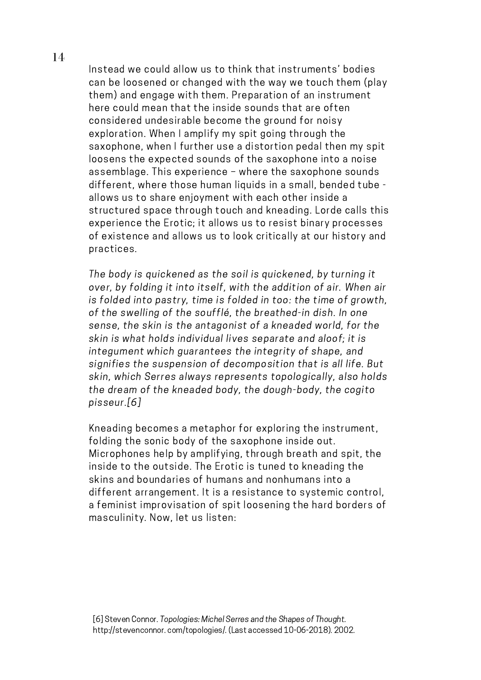Instead we could allow us to think that instruments' bodies can be loosened or changed with the way we touch them (play them) and engage with them. Preparation of an instrument here could mean that the inside sounds that are often considered undesirable become the ground for noisy exploration. When I amplify my spit going through the saxophone, when I further use a distortion pedal then my spit loosens the expected sounds of the saxophone into a noise assemblage. This experience – where the saxophone sounds different, where those human liquids in a small, bended tube allows us to share enjoyment with each other inside a structured space through touch and kneading. Lorde calls this experience the Erotic; it allows us to resist binary processes of existence and allows us to look critically at our history and practices.

The body is quickened as the soil is quickened, by turning it over, by folding it into itself, with the addition of air. When air is folded into pastry, time is folded in too: the time of growth, of the swelling of the soufflé, the breathed-in dish. In one sense, the skin is the antagonist of a kneaded world, for the skin is what holds individual lives separate and aloof; it is integument which guarantees the integrity of shape, and signifies the suspension of decomposition that is all life. But skin, which Serres always represents topologically, also holds the dream of the kneaded body, the dough-body, the cogito pisseur.[6]

Kneading becomes a metaphor for exploring the instrument, folding the sonic body of the saxophone inside out. Microphones help by amplifying, through breath and spit, the inside to the outside. The Erotic is tuned to kneading the skins and boundaries of humans and nonhumans into a different arrangement. It is a resistance to systemic control, a feminist improvisation of spit loosening the hard borders of masculinity. Now, let us listen: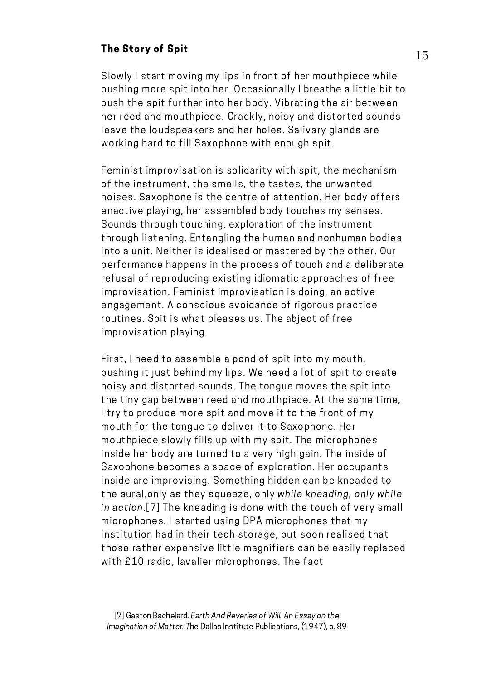#### The Story of Spit

Slowly I start moving my lips in front of her mouthpiece while pushing more spit into her. Occasionally I breathe a little bit to push the spit further into her body. Vibrating the air between her reed and mouthpiece. Crackly, noisy and distorted sounds leave the loudspeakers and her holes. Salivary glands are working hard to fill Saxophone with enough spit.

Feminist improvisation is solidarity with spit, the mechanism of the instrument, the smells, the tastes, the unwanted noises. Saxophone is the centre of attention. Her body offers enactive playing, her assembled body touches my senses. Sounds through touching, exploration of the instrument through listening. Entangling the human and nonhuman bodies into a unit. Neither is idealised or mastered by the other. Our performance happens in the process of touch and a deliberate refusal of reproducing existing idiomatic approaches of free improvisation. Feminist improvisation is doing, an active engagement. A conscious avoidance of rigorous practice routines. Spit is what pleases us. The abject of free improvisation playing.

First, I need to assemble a pond of spit into my mouth, pushing it just behind my lips. We need a lot of spit to create noisy and distorted sounds. The tongue moves the spit into the tiny gap between reed and mouthpiece. At the same time, I try to produce more spit and move it to the front of my mouth for the tongue to deliver it to Saxophone. Her mouthpiece slowly fills up with my spit. The microphones inside her body are turned to a very high gain. The inside of Saxophone becomes a space of exploration. Her occupants inside are improvising. Something hidden can be kneaded to the aural,only as they squeeze, only while kneading, only while in action.[7] The kneading is done with the touch of very small microphones. I started using DPA microphones that my institution had in their tech storage, but soon realised that those rather expensive little magnifiers can be easily replaced with £10 radio, lavalier microphones. The fact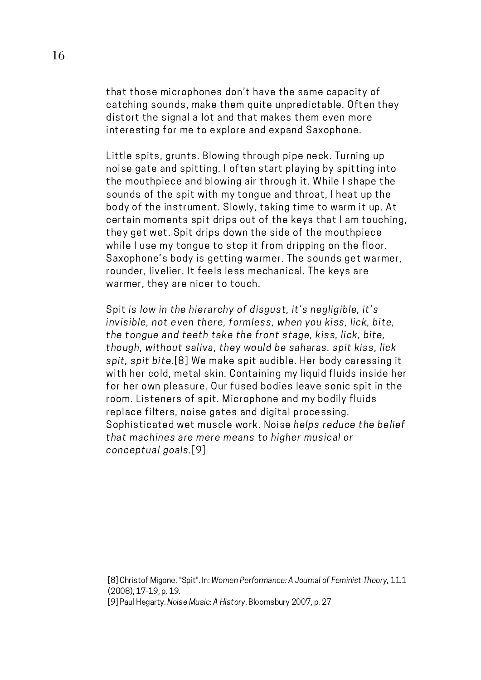that those microphones don't have the same capacity of catching sounds, make them quite unpredictable. Often they distort the signal a lot and that makes them even more interesting for me to explore and expand Saxophone.

Little spits, grunts. Blowing through pipe neck. Turning up noise gate and spitting. I often start playing by spitting into the mouthpiece and blowing air through it. While I shape the sounds of the spit with my tongue and throat, I heat up the body of the instrument. Slowly, taking time to warm it up. At certain moments spit drips out of the keys that I am touching, they get wet. Spit drips down the side of the mouthpiece while I use my tongue to stop it from dripping on the floor. Saxophone's body is getting warmer. The sounds get warmer, rounder, livelier. It feels less mechanical. The keys are warmer, they are nicer to touch.

Spit is low in the hierarchy of disgust, it's negligible, it's invisible, not even there, formless, when you kiss, lick, bite, the tongue and teeth take the front stage, kiss, lick, bite, though, without saliva, they would be saharas. spit kiss, lick spit, spit bite.[8] We make spit audible. Her body caressing it with her cold, metal skin. Containing my liquid fluids inside her for her own pleasure. Our fused bodies leave sonic spit in the room. Listeners of spit. Microphone and my bodily fluids replace filters, noise gates and digital processing. Sophisticated wet muscle work. Noise helps reduce the belief that machines are mere means to higher musical or conceptual goals.[9]

[8] Christof Migone. "Spit". In: Women Performance: A Journal of Feminist Theory, 11.1 (2008), 17-19, p. 19.

[9] Paul Hegarty. Noise Music: A History. Bloomsbury 2007, p. 27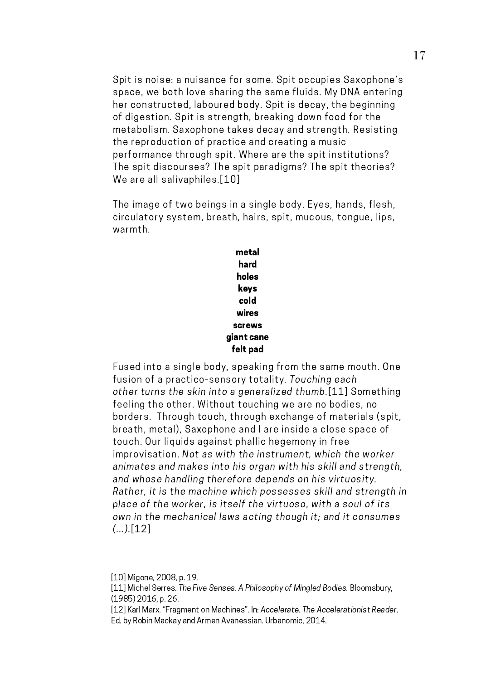Spit is noise: a nuisance for some. Spit occupies Saxophone's space, we both love sharing the same fluids. My DNA entering her constructed, laboured body. Spit is decay, the beginning of digestion. Spit is strength, breaking down food for the metabolism. Saxophone takes decay and strength. Resisting the reproduction of practice and creating a music performance through spit. Where are the spit institutions? The spit discourses? The spit paradigms? The spit theories? We are all salivaphiles.[10]

The image of two beings in a single body. Eyes, hands, flesh, circulatory system, breath, hairs, spit, mucous, tongue, lips, warmth.

> metal hard holes keys cold wires screws giant cane felt pad

Fused into a single body, speaking from the same mouth. One fusion of a practico-sensory totality. Touching each other turns the skin into a generalized thumb.[11] Something feeling the other. Without touching we are no bodies, no borders. Through touch, through exchange of materials (spit, breath, metal), Saxophone and I are inside a close space of touch. Our liquids against phallic hegemony in free improvisation. Not as with the instrument, which the worker animates and makes into his organ with his skill and strength, and whose handling therefore depends on his virtuosity. Rather, it is the machine which possesses skill and strength in place of the worker, is itself the virtuoso, with a soul of its own in the mechanical laws acting though it; and it consumes  $(...)$ [12]

[10] Migone, 2008, p. 19.

[11] Michel Serres. The Five Senses. A Philosophy of Mingled Bodies. Bloomsbury, (1985) 2016, p. 26.

[12] Karl Marx. "Fragment on Machines". In: Accelerate. The Accelerationist Reader. Ed. by Robin Mackay and Armen Avanessian. Urbanomic, 2014.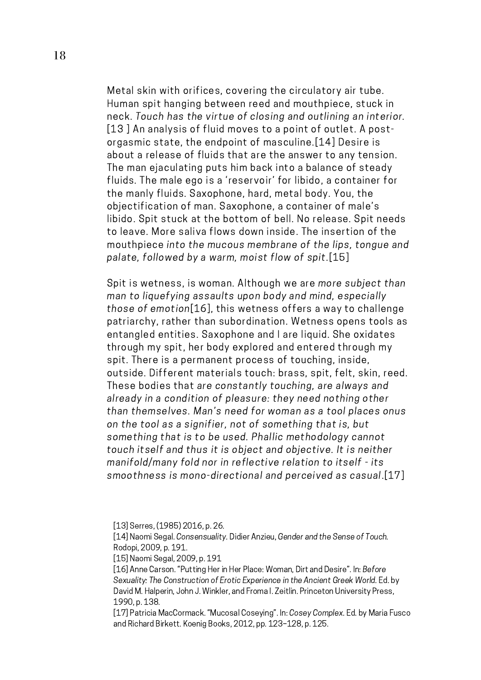Metal skin with orifices, covering the circulatory air tube. Human spit hanging between reed and mouthpiece, stuck in neck. Touch has the virtue of closing and outlining an interior. [13] An analysis of fluid moves to a point of outlet. A postorgasmic state, the endpoint of masculine.[14] Desire is about a release of fluids that are the answer to any tension. The man ejaculating puts him back into a balance of steady fluids. The male ego is a 'reservoir' for libido, a container for the manly fluids. Saxophone, hard, metal body. You, the objectification of man. Saxophone, a container of male's libido. Spit stuck at the bottom of bell. No release. Spit needs to leave. More saliva flows down inside. The insertion of the mouthpiece into the mucous membrane of the lips, tongue and palate, followed by a warm, moist flow of spit.[15]

Spit is wetness, is woman. Although we are more subject than man to liquefying assaults upon body and mind, especially those of emotion[16], this wetness offers a way to challenge patriarchy, rather than subordination. Wetness opens tools as entangled entities. Saxophone and I are liquid. She oxidates through my spit, her body explored and entered through my spit. There is a permanent process of touching, inside, outside. Different materials touch: brass, spit, felt, skin, reed. These bodies that are constantly touching, are always and already in a condition of pleasure: they need nothing other than themselves. Man's need for woman as a tool places onus on the tool as a signifier, not of something that is, but something that is to be used. Phallic methodology cannot touch itself and thus it is object and objective. It is neither manifold/many fold nor in reflective relation to itself - its smoothness is mono-directional and perceived as casual.[17]

<sup>[13]</sup> Serres, (1985) 2016, p. 26.

<sup>[14]</sup> Naomi Segal. Consensuality. Didier Anzieu, Gender and the Sense of Touch. Rodopi, 2009, p. 191.

<sup>[15]</sup> Naomi Segal, 2009, p. 191

<sup>[16]</sup> Anne Carson. "Putting Her in Her Place: Woman, Dirt and Desire". In: Before Sexuality: The Construction of Erotic Experience in the Ancient Greek World. Ed. by David M. Halperin, John J. Winkler, and Froma I. Zeitlin. Princeton University Press, 1990, p. 138.

<sup>[17]</sup> Patricia MacCormack. "Mucosal Coseying". In: Cosey Complex. Ed. by Maria Fusco and Richard Birkett. Koenig Books, 2012, pp. 123–128, p. 125.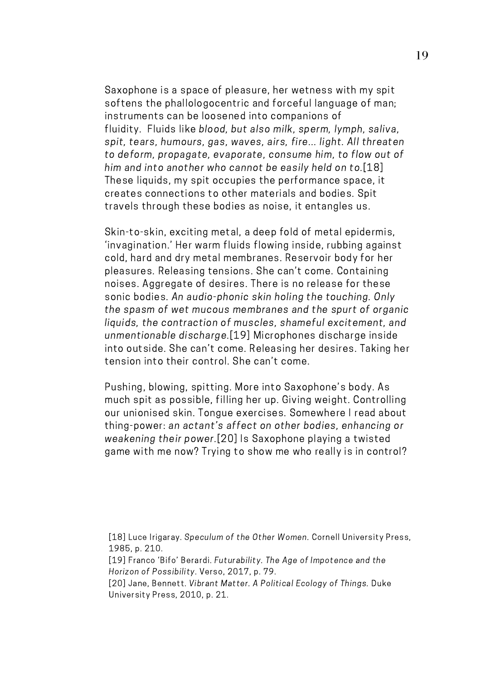Saxophone is a space of pleasure, her wetness with my spit softens the phallologocentric and forceful language of man; instruments can be loosened into companions of fluidity. Fluids like blood, but also milk, sperm, lymph, saliva, spit, tears, humours, gas, waves, airs, fire... light. All threaten to deform, propagate, evaporate, consume him, to flow out of him and into another who cannot be easily held on to.[18] These liquids, my spit occupies the performance space, it creates connections to other materials and bodies. Spit travels through these bodies as noise, it entangles us.

Skin-to-skin, exciting metal, a deep fold of metal epidermis, 'invagination.' Her warm fluids flowing inside, rubbing against cold, hard and dry metal membranes. Reservoir body for her pleasures. Releasing tensions. She can't come. Containing noises. Aggregate of desires. There is no release for these sonic bodies. An audio-phonic skin holing the touching. Only the spasm of wet mucous membranes and the spurt of organic liquids, the contraction of muscles, shameful excitement, and unmentionable discharge.[19] Microphones discharge inside into outside. She can't come. Releasing her desires. Taking her tension into their control. She can't come.

Pushing, blowing, spitting. More into Saxophone's body. As much spit as possible, filling her up. Giving weight. Controlling our unionised skin. Tongue exercises. Somewhere I read about thing-power: an actant's affect on other bodies, enhancing or weakening their power.[20] Is Saxophone playing a twisted game with me now? Trying to show me who really is in control?

<sup>[18]</sup> Luce Irigaray. Speculum of the Other Women. Cornell University Press, 1985, p. 210.

<sup>[19]</sup> Franco 'Bifo' Berardi. Futurability. The Age of Impotence and the Horizon of Possibility. Verso, 2017, p. 79.

<sup>[20]</sup> Jane, Bennett. Vibrant Matter. A Political Ecology of Things. Duke University Press, 2010, p. 21.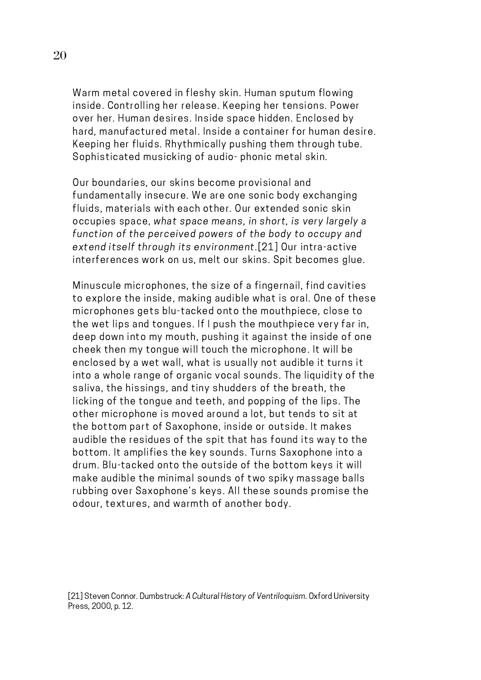Warm metal covered in fleshy skin. Human sputum flowing inside. Controlling her release. Keeping her tensions. Power over her. Human desires. Inside space hidden. Enclosed by hard, manufactured metal. Inside a container for human desire. Keeping her fluids. Rhythmically pushing them through tube. Sophisticated musicking of audio- phonic metal skin.

Our boundaries, our skins become provisional and fundamentally insecure. We are one sonic body exchanging fluids, materials with each other. Our extended sonic skin occupies space, what space means, in short, is very largely a function of the perceived powers of the body to occupy and extend itself through its environment.[21] Our intra-active interferences work on us, melt our skins. Spit becomes glue.

Minuscule microphones, the size of a fingernail, find cavities to explore the inside, making audible what is oral. One of these microphones gets blu-tacked onto the mouthpiece, close to the wet lips and tongues. If I push the mouthpiece very far in, deep down into my mouth, pushing it against the inside of one cheek then my tongue will touch the microphone. It will be enclosed by a wet wall, what is usually not audible it turns it into a whole range of organic vocal sounds. The liquidity of the saliva, the hissings, and tiny shudders of the breath, the licking of the tongue and teeth, and popping of the lips. The other microphone is moved around a lot, but tends to sit at the bottom part of Saxophone, inside or outside. It makes audible the residues of the spit that has found its way to the bottom. It amplifies the key sounds. Turns Saxophone into a drum. Blu-tacked onto the outside of the bottom keys it will make audible the minimal sounds of two spiky massage balls rubbing over Saxophone's keys. All these sounds promise the odour, textures, and warmth of another body.

[21] Steven Connor. Dumbstruck: A Cultural History of Ventriloquism. Oxford University Press, 2000, p. 12.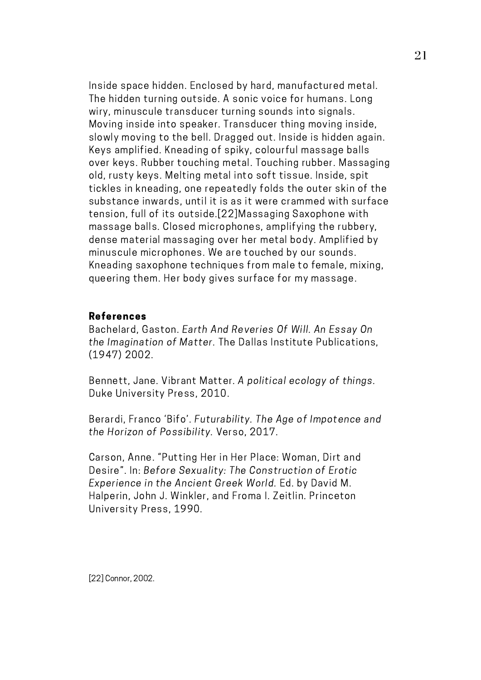Inside space hidden. Enclosed by hard, manufactured metal. The hidden turning outside. A sonic voice for humans. Long wiry, minuscule transducer turning sounds into signals. Moving inside into speaker. Transducer thing moving inside, slowly moving to the bell. Dragged out. Inside is hidden again. Keys amplified. Kneading of spiky, colourful massage balls over keys. Rubber touching metal. Touching rubber. Massaging old, rusty keys. Melting metal into soft tissue. Inside, spit tickles in kneading, one repeatedly folds the outer skin of the substance inwards, until it is as it were crammed with surface tension, full of its outside.[22]Massaging Saxophone with massage balls. Closed microphones, amplifying the rubbery, dense material massaging over her metal body. Amplified by minuscule microphones. We are touched by our sounds. Kneading saxophone techniques from male to female, mixing, queering them. Her body gives surface for my massage.

#### References

Bachelard, Gaston. Earth And Reveries Of Will. An Essay On the Imagination of Matter. The Dallas Institute Publications, (1947) 2002.

Bennett, Jane. Vibrant Matter. A political ecology of things. Duke University Press, 2010.

Berardi, Franco 'Bifo'. Futurability. The Age of Impotence and the Horizon of Possibility. Verso, 2017.

Carson, Anne. "Putting Her in Her Place: Woman, Dirt and Desire". In: Before Sexuality: The Construction of Erotic Experience in the Ancient Greek World. Ed. by David M. Halperin, John J. Winkler, and Froma I. Zeitlin. Princeton University Press, 1990.

21

[22] Connor, 2002.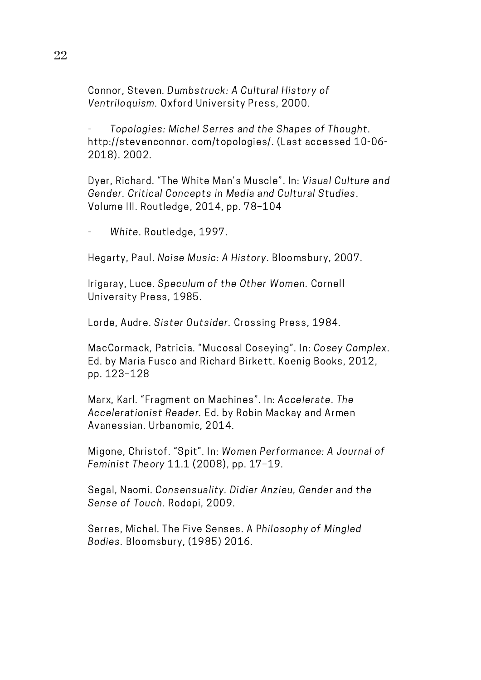Connor, Steven. Dumbstruck: A Cultural History of Ventriloquism. Oxford University Press, 2000.

Topologies: Michel Serres and the Shapes of Thought. http://stevenconnor. com/topologies/. (Last accessed 10-06- 2018). 2002.

Dyer, Richard. "The White Man's Muscle". In: Visual Culture and Gender. Critical Concepts in Media and Cultural Studies. Volume III. Routledge, 2014, pp. 78–104

- White. Routledge, 1997.

Hegarty, Paul. Noise Music: A History. Bloomsbury, 2007.

Irigaray, Luce. Speculum of the Other Women. Cornell University Press, 1985.

Lorde, Audre. Sister Outsider. Crossing Press, 1984.

MacCormack, Patricia. "Mucosal Coseying". In: Cosey Complex. Ed. by Maria Fusco and Richard Birkett. Koenig Books, 2012, pp. 123–128

Marx, Karl. "Fragment on Machines". In: Accelerate. The Accelerationist Reader. Ed. by Robin Mackay and Armen Avanessian. Urbanomic, 2014.

Migone, Christof. "Spit". In: Women Performance: A Journal of Feminist Theory 11.1 (2008), pp. 17–19.

Segal, Naomi. Consensuality. Didier Anzieu, Gender and the Sense of Touch. Rodopi, 2009.

Serres, Michel. The Five Senses. A Philosophy of Mingled Bodies. Bloomsbury, (1985) 2016.